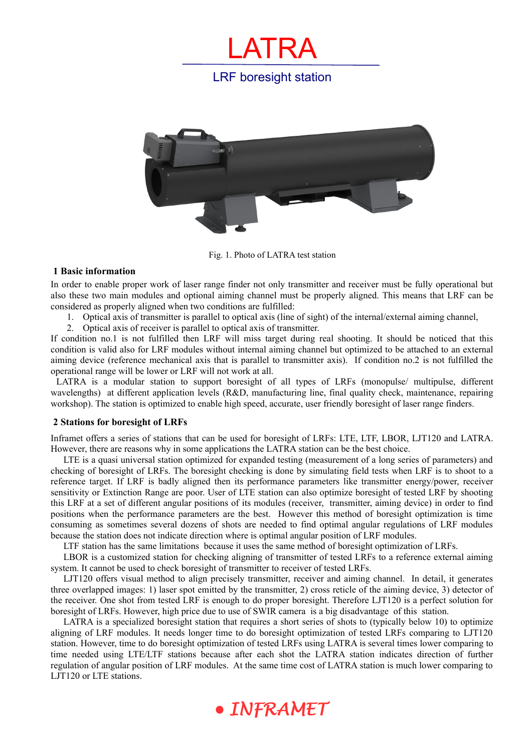

# LRF boresight station



Fig. 1. Photo of LATRA test station

#### **1 Basic information**

In order to enable proper work of laser range finder not only transmitter and receiver must be fully operational but also these two main modules and optional aiming channel must be properly aligned. This means that LRF can be considered as properly aligned when two conditions are fulfilled:

- 1. Optical axis of transmitter is parallel to optical axis (line of sight) of the internal/external aiming channel,
- 2. Optical axis of receiver is parallel to optical axis of transmitter.

If condition no.1 is not fulfilled then LRF will miss target during real shooting. It should be noticed that this condition is valid also for LRF modules without internal aiming channel but optimized to be attached to an external aiming device (reference mechanical axis that is parallel to transmitter axis). If condition no.2 is not fulfilled the operational range will be lower or LRF will not work at all.

 LATRA is a modular station to support boresight of all types of LRFs (monopulse/ multipulse, different wavelengths) at different application levels (R&D, manufacturing line, final quality check, maintenance, repairing workshop). The station is optimized to enable high speed, accurate, user friendly boresight of laser range finders.

#### **2 Stations for boresight of LRFs**

Inframet offers a series of stations that can be used for boresight of LRFs: LTE, LTF, LBOR, LJT120 and LATRA. However, there are reasons why in some applications the LATRA station can be the best choice.

LTE is a quasi universal station optimized for expanded testing (measurement of a long series of parameters) and checking of boresight of LRFs. The boresight checking is done by simulating field tests when LRF is to shoot to a reference target. If LRF is badly aligned then its performance parameters like transmitter energy/power, receiver sensitivity or Extinction Range are poor. User of LTE station can also optimize boresight of tested LRF by shooting this LRF at a set of different angular positions of its modules (receiver, transmitter, aiming device) in order to find positions when the performance parameters are the best. However this method of boresight optimization is time consuming as sometimes several dozens of shots are needed to find optimal angular regulations of LRF modules because the station does not indicate direction where is optimal angular position of LRF modules.

LTF station has the same limitations because it uses the same method of boresight optimization of LRFs.

LBOR is a customized station for checking aligning of transmitter of tested LRFs to a reference external aiming system. It cannot be used to check boresight of transmitter to receiver of tested LRFs.

LJT120 offers visual method to align precisely transmitter, receiver and aiming channel. In detail, it generates three overlapped images: 1) laser spot emitted by the transmitter, 2) cross reticle of the aiming device, 3) detector of the receiver. One shot from tested LRF is enough to do proper boresight. Therefore LJT120 is a perfect solution for boresight of LRFs. However, high price due to use of SWIR camera is a big disadvantage of this station.

LATRA is a specialized boresight station that requires a short series of shots to (typically below 10) to optimize aligning of LRF modules. It needs longer time to do boresight optimization of tested LRFs comparing to LJT120 station. However, time to do boresight optimization of tested LRFs using LATRA is several times lower comparing to time needed using LTE/LTF stations because after each shot the LATRA station indicates direction of further regulation of angular position of LRF modules. At the same time cost of LATRA station is much lower comparing to LJT120 or LTE stations.

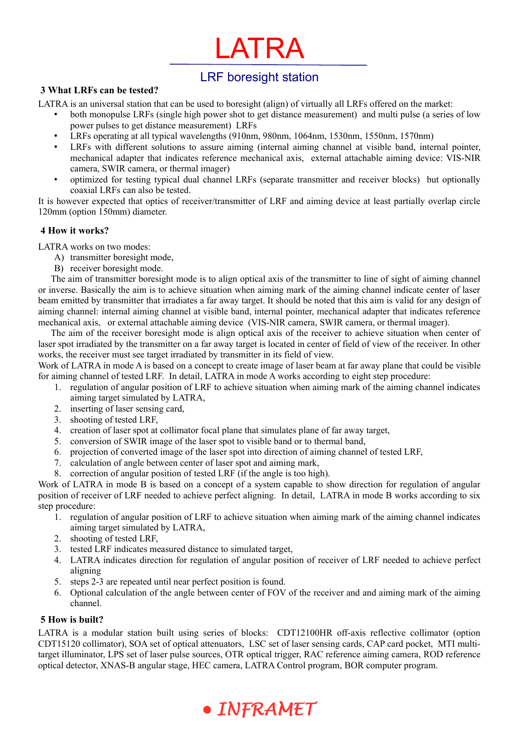# LATRA

# LRF boresight station

## **3 What LRFs can be tested?**

LATRA is an universal station that can be used to boresight (align) of virtually all LRFs offered on the market:

- both monopulse LRFs (single high power shot to get distance measurement) and multi pulse (a series of low power pulses to get distance measurement) LRFs
	- LRFs operating at all typical wavelengths (910nm, 980nm, 1064nm, 1530nm, 1550nm, 1570nm)
- LRFs with different solutions to assure aiming (internal aiming channel at visible band, internal pointer, mechanical adapter that indicates reference mechanical axis, external attachable aiming device: VIS-NIR camera, SWIR camera, or thermal imager)
- optimized for testing typical dual channel LRFs (separate transmitter and receiver blocks) but optionally coaxial LRFs can also be tested.

It is however expected that optics of receiver/transmitter of LRF and aiming device at least partially overlap circle 120mm (option 150mm) diameter.

## **4 How it works?**

LATRA works on two modes:

- A) transmitter boresight mode,
- B) receiver boresight mode.

The aim of transmitter boresight mode is to align optical axis of the transmitter to line of sight of aiming channel or inverse. Basically the aim is to achieve situation when aiming mark of the aiming channel indicate center of laser beam emitted by transmitter that irradiates a far away target. It should be noted that this aim is valid for any design of aiming channel: internal aiming channel at visible band, internal pointer, mechanical adapter that indicates reference mechanical axis, or external attachable aiming device (VIS-NIR camera, SWIR camera, or thermal imager).

The aim of the receiver boresight mode is align optical axis of the receiver to achieve situation when center of laser spot irradiated by the transmitter on a far away target is located in center of field of view of the receiver. In other works, the receiver must see target irradiated by transmitter in its field of view.

Work of LATRA in mode A is based on a concept to create image of laser beam at far away plane that could be visible for aiming channel of tested LRF. In detail, LATRA in mode A works according to eight step procedure:

- 1. regulation of angular position of LRF to achieve situation when aiming mark of the aiming channel indicates aiming target simulated by LATRA,
- 2. inserting of laser sensing card,
- 3. shooting of tested LRF,
- 4. creation of laser spot at collimator focal plane that simulates plane of far away target,
- 5. conversion of SWIR image of the laser spot to visible band or to thermal band,
- 6. projection of converted image of the laser spot into direction of aiming channel of tested LRF,
- 7. calculation of angle between center of laser spot and aiming mark,
- 8. correction of angular position of tested LRF (if the angle is too high).

Work of LATRA in mode B is based on a concept of a system capable to show direction for regulation of angular position of receiver of LRF needed to achieve perfect aligning. In detail, LATRA in mode B works according to six step procedure:

- 1. regulation of angular position of LRF to achieve situation when aiming mark of the aiming channel indicates aiming target simulated by LATRA,
- 2. shooting of tested LRF,
- 3. tested LRF indicates measured distance to simulated target,
- 4. LATRA indicates direction for regulation of angular position of receiver of LRF needed to achieve perfect aligning
- 5. steps 2-3 are repeated until near perfect position is found.
- 6. Optional calculation of the angle between center of FOV of the receiver and and aiming mark of the aiming channel.

#### **5 How is built?**

LATRA is a modular station built using series of blocks: CDT12100HR off-axis reflective collimator (option CDT15120 collimator), SOA set of optical attenuators, LSC set of laser sensing cards, CAP card pocket, MTI multitarget illuminator, LPS set of laser pulse sources, OTR optical trigger, RAC reference aiming camera, ROD reference optical detector, XNAS-B angular stage, HEC camera, LATRA Control program, BOR computer program.